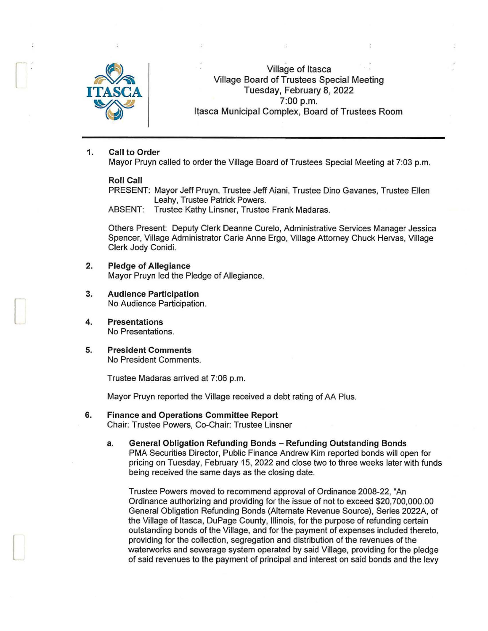

 $\Box$ 

 $\overline{\phantom{a}}$ 

Village of Itasca Village Board of Trustees Special Meeting Tuesday, February 8, 2022 ASCA<br>7:00 p.m.<br>Itasca Municipal Complex, Board of Trustees Room

### 1. Call to Order

Mayor Pruyn called to order the Village Board of Trustees Special Meeting at 7:03 p.m.

#### Roll Call

PRESENT: Mayor Jeff Pruyn, Trustee Jeff Aiani, Trustee Dino Gavanes, Trustee Ellen Leahy, Trustee Patrick Powers.

ABSENT: Trustee Kathy Linsner, Trustee Frank Madaras.

Others Present: Deputy Clerk Deanne Curelo, Administrative Services Manager Jessica Spencer, Village Administrator Carie Anne Ergo, Village Attorney Chuck Hervas, Village Clerk Jody Conidi.

- 2. Pledge of Allegiance Mayor Pruyn led the Pledge of Allegiance.
- 3. Audience Participation No Audience Participation.
- 4. Presentations No Presentations.
- 5. President Comments No President Comments.

Trustee Madaras arrived at 7:06 p.m.

Mayor Pruyn reported the Village received a debt rating of AA Plus.

#### 6. Finance and Operations Committee Report Chair: Trustee Powers, Co-Chair: Trustee Linsner

a. General Obligation Refunding Bonds - Refunding Outstanding Bonds PMA Securities Director, Public Finance Andrew Kim reported bonds will open for pricing on Tuesday, February 15, 2022 and close two to three weeks later with funds being received the same days as the closing date.

Trustee Powers moved to recommend approval of Ordinance 2008-22, "An Ordinance authorizing and providing for the issue of not to exceed \$20,700,000.00 General Obligation Refunding Bonds (Alternate Revenue Source), Series 2022A, of the Village of Itasca, DuPage County, Illinois, for the purpose of refunding certain outstanding bonds of the Village, and for the payment of expenses included thereto, providing for the collection, segregation and distribution of the revenues of the waterworks and sewerage system operated by said Village, providing for the pledge of said revenues to the payment of principal and interest on said bonds and the levy